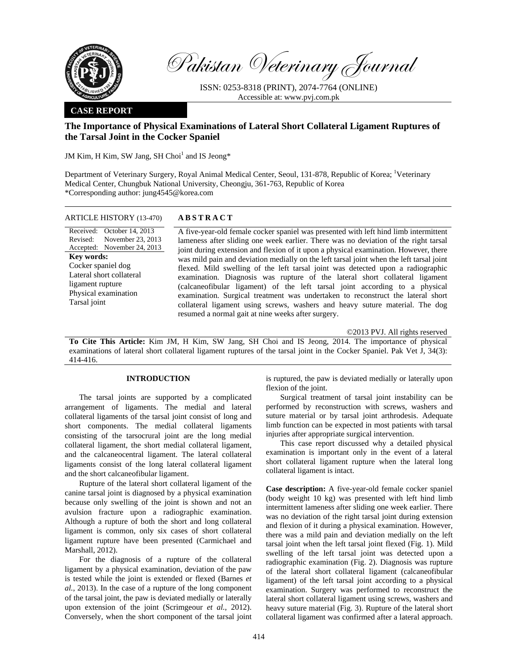

Pakistan Veterinary Journal

ISSN: 0253-8318 (PRINT), 2074-7764 (ONLINE) Accessible at: www.pvj.com.pk

### **CASE REPORT**

# **The Importance of Physical Examinations of Lateral Short Collateral Ligament Ruptures of the Tarsal Joint in the Cocker Spaniel**

JM Kim, H Kim, SW Jang, SH Choi<sup>1</sup> and IS Jeong\*

Department of Veterinary Surgery, Royal Animal Medical Center, Seoul, 131-878, Republic of Korea; <sup>1</sup>Veterinary Medical Center, Chungbuk National University, Cheongju, 361-763, Republic of Korea \*Corresponding author: jung4545@korea.com

### ARTICLE HISTORY (13-470) **ABSTRACT**

Received: October 14, 2013 Revised: Accepted: November 24, 2013 November 23, 2013 **Key words:**  Cocker spaniel dog Lateral short collateral ligament rupture Physical examination Tarsal joint

 A five-year-old female cocker spaniel was presented with left hind limb intermittent lameness after sliding one week earlier. There was no deviation of the right tarsal joint during extension and flexion of it upon a physical examination. However, there was mild pain and deviation medially on the left tarsal joint when the left tarsal joint flexed. Mild swelling of the left tarsal joint was detected upon a radiographic examination. Diagnosis was rupture of the lateral short collateral ligament (calcaneofibular ligament) of the left tarsal joint according to a physical examination. Surgical treatment was undertaken to reconstruct the lateral short collateral ligament using screws, washers and heavy suture material. The dog resumed a normal gait at nine weeks after surgery.

©2013 PVJ. All rights reserved

**To Cite This Article:** Kim JM, H Kim, SW Jang, SH Choi and IS Jeong, 2014. The importance of physical examinations of lateral short collateral ligament ruptures of the tarsal joint in the Cocker Spaniel. Pak Vet J, 34(3): 414-416.

## **INTRODUCTION**

The tarsal joints are supported by a complicated arrangement of ligaments. The medial and lateral collateral ligaments of the tarsal joint consist of long and short components. The medial collateral ligaments consisting of the tarsocrural joint are the long medial collateral ligament, the short medial collateral ligament, and the calcaneocentral ligament. The lateral collateral ligaments consist of the long lateral collateral ligament and the short calcaneofibular ligament.

Rupture of the lateral short collateral ligament of the canine tarsal joint is diagnosed by a physical examination because only swelling of the joint is shown and not an avulsion fracture upon a radiographic examination. Although a rupture of both the short and long collateral ligament is common, only six cases of short collateral ligament rupture have been presented (Carmichael and Marshall, 2012).

For the diagnosis of a rupture of the collateral ligament by a physical examination, deviation of the paw is tested while the joint is extended or flexed (Barnes *et al.*, 2013). In the case of a rupture of the long component of the tarsal joint, the paw is deviated medially or laterally upon extension of the joint (Scrimgeour *et al.*, 2012). Conversely, when the short component of the tarsal joint

is ruptured, the paw is deviated medially or laterally upon flexion of the joint.

Surgical treatment of tarsal joint instability can be performed by reconstruction with screws, washers and suture material or by tarsal joint arthrodesis. Adequate limb function can be expected in most patients with tarsal injuries after appropriate surgical intervention.

This case report discussed why a detailed physical examination is important only in the event of a lateral short collateral ligament rupture when the lateral long collateral ligament is intact.

**Case description:** A five-year-old female cocker spaniel (body weight 10 kg) was presented with left hind limb intermittent lameness after sliding one week earlier. There was no deviation of the right tarsal joint during extension and flexion of it during a physical examination. However, there was a mild pain and deviation medially on the left tarsal joint when the left tarsal joint flexed (Fig. 1). Mild swelling of the left tarsal joint was detected upon a radiographic examination (Fig. 2). Diagnosis was rupture of the lateral short collateral ligament (calcaneofibular ligament) of the left tarsal joint according to a physical examination. Surgery was performed to reconstruct the lateral short collateral ligament using screws, washers and heavy suture material (Fig. 3). Rupture of the lateral short collateral ligament was confirmed after a lateral approach.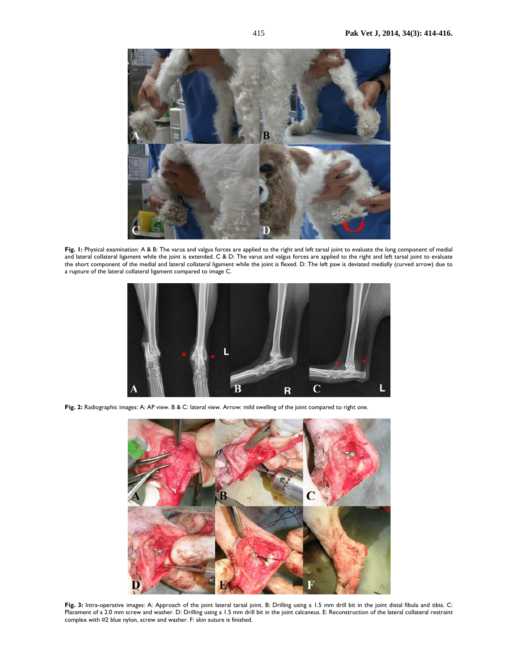

**Fig. 1:** Physical examination: A & B: The varus and valgus forces are applied to the right and left tarsal joint to evaluate the long component of medial and lateral collateral ligament while the joint is extended. C & D: The varus and valgus forces are applied to the right and left tarsal joint to evaluate the short component of the medial and lateral collateral ligament while the joint is flexed. D: The left paw is deviated medially (curved arrow) due to a rupture of the lateral collateral ligament compared to image C.



**Fig. 2:** Radiographic images: A: AP view. B & C: lateral view. Arrow: mild swelling of the joint compared to right one.



**Fig. 3:** Intra-operative images: A: Approach of the joint lateral tarsal joint. B: Drilling using a 1.5 mm drill bit in the joint distal fibula and tibia. C: Placement of a 2.0 mm screw and washer. D: Drilling using a 1.5 mm drill bit in the joint calcaneus. E: Reconstruction of the lateral collateral restraint complex with #2 blue nylon, screw and washer. F: skin suture is finished.